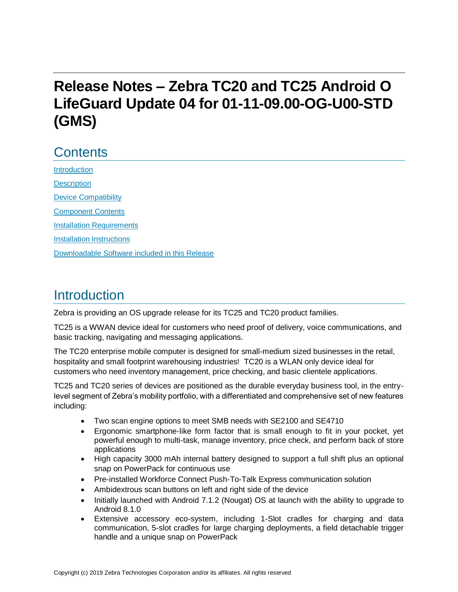# **Release Notes – Zebra TC20 and TC25 Android O LifeGuard Update 04 for 01-11-09.00-OG-U00-STD (GMS)**

# **Contents**

[Introduction](#page-0-0) **[Description](#page-0-0)** [Device Compatibility](#page-2-0) [Component Contents](#page-3-0) [Installation Requirements](#page-5-0) [Installation Instructions](#page-5-1) [Downloadable Software included in this Release](#page-7-0) 

## <span id="page-0-0"></span>Introduction

Zebra is providing an OS upgrade release for its TC25 and TC20 product families.

TC25 is a WWAN device ideal for customers who need proof of delivery, voice communications, and basic tracking, navigating and messaging applications.

The TC20 enterprise mobile computer is designed for small-medium sized businesses in the retail, hospitality and small footprint warehousing industries! TC20 is a WLAN only device ideal for customers who need inventory management, price checking, and basic clientele applications.

TC25 and TC20 series of devices are positioned as the durable everyday business tool, in the entrylevel segment of Zebra's mobility portfolio, with a differentiated and comprehensive set of new features including:

- Two scan engine options to meet SMB needs with SE2100 and SE4710
- Ergonomic smartphone-like form factor that is small enough to fit in your pocket, yet powerful enough to multi-task, manage inventory, price check, and perform back of store applications
- High capacity 3000 mAh internal battery designed to support a full shift plus an optional snap on PowerPack for continuous use
- Pre-installed Workforce Connect Push-To-Talk Express communication solution
- Ambidextrous scan buttons on left and right side of the device
- Initially launched with Android 7.1.2 (Nougat) OS at launch with the ability to upgrade to Android 8.1.0
- Extensive accessory eco-system, including 1-Slot cradles for charging and data communication, 5-slot cradles for large charging deployments, a field detachable trigger handle and a unique snap on PowerPack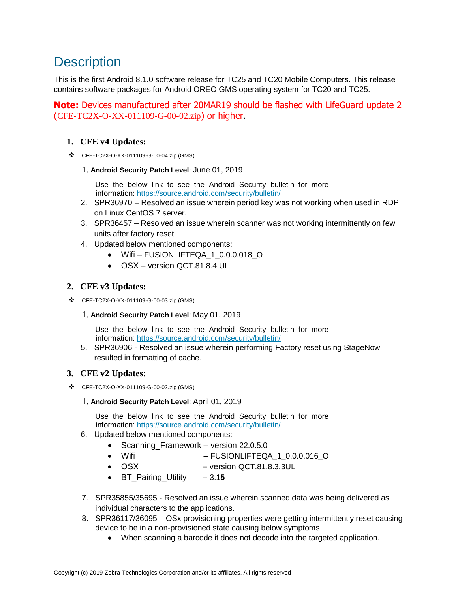# **Description**

This is the first Android 8.1.0 software release for TC25 and TC20 Mobile Computers. This release contains software packages for Android OREO GMS operating system for TC20 and TC25.

**Note:** Devices manufactured after 20MAR19 should be flashed with LifeGuard update 2 (CFE-TC2X-O-XX-011109-G-00-02.zip) or higher.

### **1. CFE v4 Updates:**

❖ CFE-TC2X-O-XX-011109-G-00-04.zip (GMS)

#### 1. **Android Security Patch Level**: June 01, 2019

Use the below link to see the Android Security bulletin for more information:<https://source.android.com/security/bulletin/>

- 2. SPR36970 Resolved an issue wherein period key was not working when used in RDP on Linux CentOS 7 server.
- 3. SPR36457 Resolved an issue wherein scanner was not working intermittently on few units after factory reset.
- 4. Updated below mentioned components:
	- Wifi FUSIONLIFTEQA\_1\_0.0.0.018\_O
	- OSX version QCT.81.8.4.UL

### **2. CFE v3 Updates:**

- ❖ CFE-TC2X-O-XX-011109-G-00-03.zip (GMS)
	- 1. **Android Security Patch Level**: May 01, 2019

Use the below link to see the Android Security bulletin for more information:<https://source.android.com/security/bulletin/>

5. SPR36906 - Resolved an issue wherein performing Factory reset using StageNow resulted in formatting of cache.

### **3. CFE v2 Updates:**

❖ CFE-TC2X-O-XX-011109-G-00-02.zip (GMS)

#### 1. **Android Security Patch Level**: April 01, 2019

Use the below link to see the Android Security bulletin for more information:<https://source.android.com/security/bulletin/>

#### 6. Updated below mentioned components:

- Scanning Framework version 22.0.5.0
- Wifi FUSIONLIFTEQA\_1\_0.0.0.016\_O
- OSX version QCT.81.8.3.3UL
- BT\_Pairing\_Utility 3.1**5**
- 7. SPR35855/35695 Resolved an issue wherein scanned data was being delivered as individual characters to the applications.
- 8. SPR36117/36095 OSx provisioning properties were getting intermittently reset causing device to be in a non-provisioned state causing below symptoms.
	- When scanning a barcode it does not decode into [the](https://confluence.zebra.com/pages/createpage.action?spaceKey=LIF&title=customer+apps+or+DWDEMO) targeted application.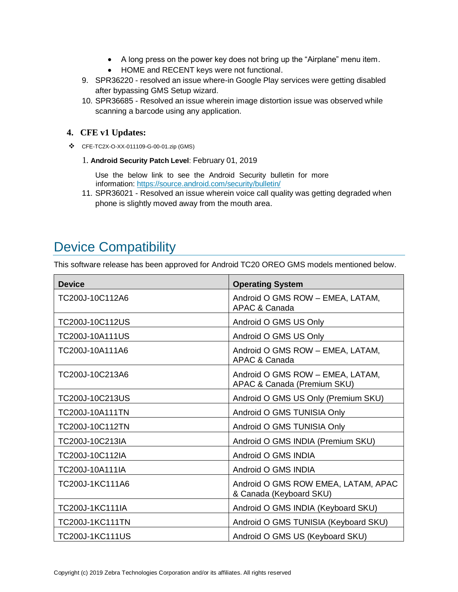- A long press on the power key does not bring up the "Airplane" menu item.
- HOME and RECENT keys were not functional.
- 9. SPR36220 resolved an issue where-in Google Play services were getting disabled after bypassing GMS Setup wizard.
- 10. SPR36685 Resolved an issue wherein image distortion issue was observed while scanning a barcode using any application.

### **4. CFE v1 Updates:**

- ❖ CFE-TC2X-O-XX-011109-G-00-01.zip (GMS)
	- 1. **Android Security Patch Level**: February 01, 2019

Use the below link to see the Android Security bulletin for more information:<https://source.android.com/security/bulletin/>

11. SPR36021 - Resolved an issue wherein voice call quality was getting degraded when phone is slightly moved away from the mouth area.

## <span id="page-2-0"></span>Device Compatibility

This software release has been approved for Android TC20 OREO GMS models mentioned below.

| <b>Device</b>          | <b>Operating System</b>                                         |
|------------------------|-----------------------------------------------------------------|
| TC200J-10C112A6        | Android O GMS ROW - EMEA, LATAM,<br>APAC & Canada               |
| TC200J-10C112US        | Android O GMS US Only                                           |
| TC200J-10A111US        | Android O GMS US Only                                           |
| TC200J-10A111A6        | Android O GMS ROW - EMEA, LATAM,<br>APAC & Canada               |
| TC200J-10C213A6        | Android O GMS ROW - EMEA, LATAM,<br>APAC & Canada (Premium SKU) |
| TC200J-10C213US        | Android O GMS US Only (Premium SKU)                             |
| TC200J-10A111TN        | Android O GMS TUNISIA Only                                      |
| TC200J-10C112TN        | Android O GMS TUNISIA Only                                      |
| TC200J-10C213IA        | Android O GMS INDIA (Premium SKU)                               |
| TC200J-10C112IA        | Android O GMS INDIA                                             |
| TC200J-10A111IA        | Android O GMS INDIA                                             |
| TC200J-1KC111A6        | Android O GMS ROW EMEA, LATAM, APAC<br>& Canada (Keyboard SKU)  |
| TC200J-1KC111IA        | Android O GMS INDIA (Keyboard SKU)                              |
| <b>TC200J-1KC111TN</b> | Android O GMS TUNISIA (Keyboard SKU)                            |
| <b>TC200J-1KC111US</b> | Android O GMS US (Keyboard SKU)                                 |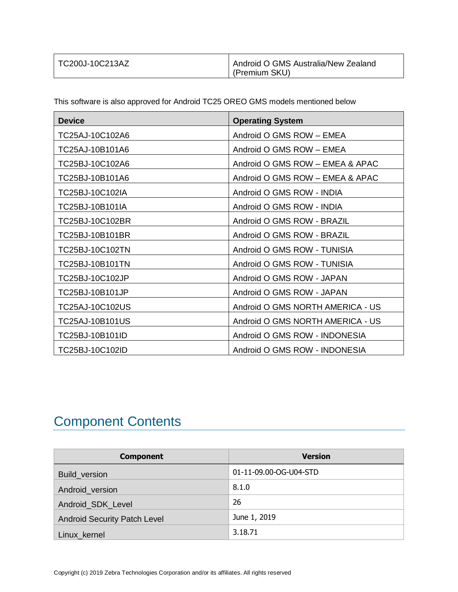| TC200J-10C213AZ | <b>Android O GMS Australia/New Zealand</b> |
|-----------------|--------------------------------------------|
|                 | (Premium SKU)                              |

This software is also approved for Android TC25 OREO GMS models mentioned below

| <b>Device</b>   | <b>Operating System</b>          |
|-----------------|----------------------------------|
| TC25AJ-10C102A6 | Android O GMS ROW - EMEA         |
| TC25AJ-10B101A6 | Android O GMS ROW - EMEA         |
| TC25BJ-10C102A6 | Android O GMS ROW - EMEA & APAC  |
| TC25BJ-10B101A6 | Android O GMS ROW - EMEA & APAC  |
| TC25BJ-10C102IA | Android O GMS ROW - INDIA        |
| TC25BJ-10B101IA | Android O GMS ROW - INDIA        |
| TC25BJ-10C102BR | Android O GMS ROW - BRAZIL       |
| TC25BJ-10B101BR | Android O GMS ROW - BRAZIL       |
| TC25BJ-10C102TN | Android O GMS ROW - TUNISIA      |
| TC25BJ-10B101TN | Android O GMS ROW - TUNISIA      |
| TC25BJ-10C102JP | Android O GMS ROW - JAPAN        |
| TC25BJ-10B101JP | Android O GMS ROW - JAPAN        |
| TC25AJ-10C102US | Android O GMS NORTH AMERICA - US |
| TC25AJ-10B101US | Android O GMS NORTH AMERICA - US |
| TC25BJ-10B101ID | Android O GMS ROW - INDONESIA    |
| TC25BJ-10C102ID | Android O GMS ROW - INDONESIA    |

# <span id="page-3-0"></span>Component Contents

| <b>Component</b>                    | <b>Version</b>         |
|-------------------------------------|------------------------|
| Build_version                       | 01-11-09.00-OG-U04-STD |
| Android_version                     | 8.1.0                  |
| Android_SDK_Level                   | 26                     |
| <b>Android Security Patch Level</b> | June 1, 2019           |
| Linux_kernel                        | 3.18.71                |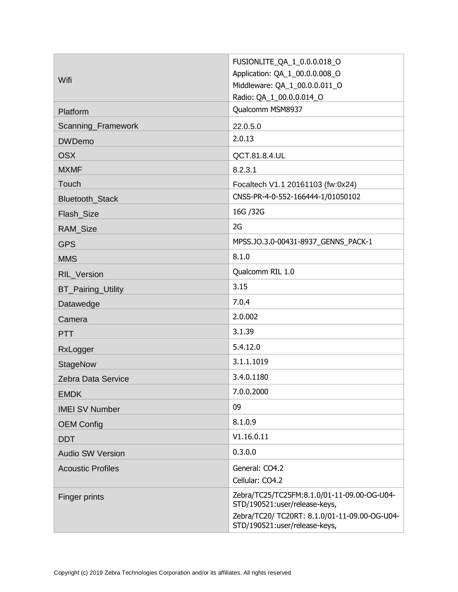| Wifi                      | FUSIONLITE_QA_1_0.0.0.018_O<br>Application: QA_1_00.0.0.008_O                  |
|---------------------------|--------------------------------------------------------------------------------|
|                           | Middleware: QA_1_00.0.0.011_O<br>Radio: QA_1_00.0.0.014_O                      |
| Platform                  | Qualcomm MSM8937                                                               |
| Scanning_Framework        | 22.0.5.0                                                                       |
| <b>DWDemo</b>             | 2.0.13                                                                         |
| <b>OSX</b>                | QCT.81.8.4.UL                                                                  |
| <b>MXMF</b>               | 8.2.3.1                                                                        |
| Touch                     | Focaltech V1.1 20161103 (fw:0x24)                                              |
| Bluetooth_Stack           | CNSS-PR-4-0-552-166444-1/01050102                                              |
| Flash_Size                | 16G / 32G                                                                      |
| RAM_Size                  | 2G                                                                             |
| <b>GPS</b>                | MPSS.JO.3.0-00431-8937_GENNS_PACK-1                                            |
| <b>MMS</b>                | 8.1.0                                                                          |
| RIL_Version               | Qualcomm RIL 1.0                                                               |
| <b>BT_Pairing_Utility</b> | 3.15                                                                           |
| Datawedge                 | 7.0.4                                                                          |
| Camera                    | 2.0.002                                                                        |
| <b>PTT</b>                | 3.1.39                                                                         |
| RxLogger                  | 5.4.12.0                                                                       |
| <b>StageNow</b>           | 3.1.1.1019                                                                     |
| Zebra Data Service        | 3.4.0.1180                                                                     |
| <b>EMDK</b>               | 7.0.0.2000                                                                     |
| <b>IMEI SV Number</b>     | 09                                                                             |
| <b>OEM Config</b>         | 8.1.0.9                                                                        |
| <b>DDT</b>                | V1.16.0.11                                                                     |
| <b>Audio SW Version</b>   | 0.3.0.0                                                                        |
| <b>Acoustic Profiles</b>  | General: CO4.2                                                                 |
|                           | Cellular: CO4.2                                                                |
| Finger prints             | Zebra/TC25/TC25FM:8.1.0/01-11-09.00-OG-U04-<br>STD/190521:user/release-keys,   |
|                           | Zebra/TC20/ TC20RT: 8.1.0/01-11-09.00-OG-U04-<br>STD/190521:user/release-keys, |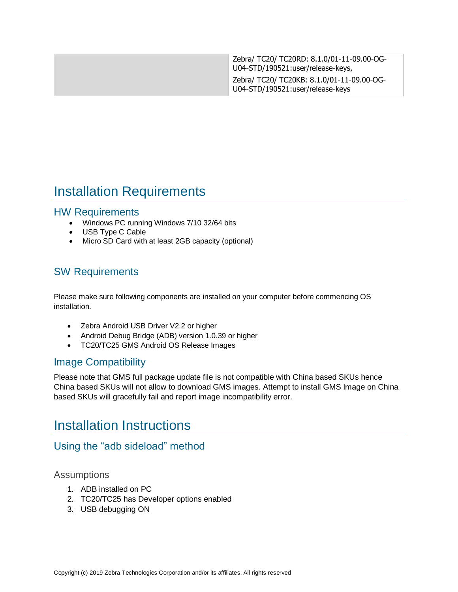| Zebra/ TC20/ TC20RD: 8.1.0/01-11-09.00-OG-<br>U04-STD/190521:user/release-keys, |
|---------------------------------------------------------------------------------|
| Zebra/ TC20/ TC20KB: 8.1.0/01-11-09.00-OG-<br>U04-STD/190521:user/release-keys  |

## <span id="page-5-0"></span>Installation Requirements

## HW Requirements

- Windows PC running Windows 7/10 32/64 bits
- USB Type C Cable
- Micro SD Card with at least 2GB capacity (optional)

## SW Requirements

Please make sure following components are installed on your computer before commencing OS installation.

- Zebra Android USB Driver V2.2 or higher
- Android Debug Bridge (ADB) version 1.0.39 or higher
- TC20/TC25 GMS Android OS Release Images

## Image Compatibility

Please note that GMS full package update file is not compatible with China based SKUs hence China based SKUs will not allow to download GMS images. Attempt to install GMS Image on China based SKUs will gracefully fail and report image incompatibility error.

## <span id="page-5-1"></span>Installation Instructions

## Using the "adb sideload" method

### Assumptions

- 1. ADB installed on PC
- 2. TC20/TC25 has Developer options enabled
- 3. USB debugging ON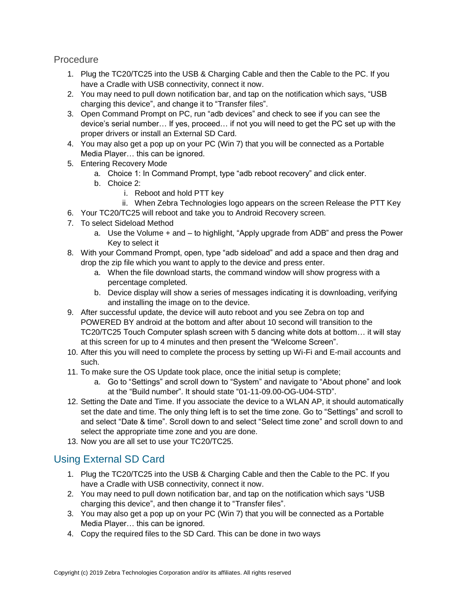**Procedure** 

- 1. Plug the TC20/TC25 into the USB & Charging Cable and then the Cable to the PC. If you have a Cradle with USB connectivity, connect it now.
- 2. You may need to pull down notification bar, and tap on the notification which says, "USB charging this device", and change it to "Transfer files".
- 3. Open Command Prompt on PC, run "adb devices" and check to see if you can see the device's serial number… If yes, proceed… if not you will need to get the PC set up with the proper drivers or install an External SD Card.
- 4. You may also get a pop up on your PC (Win 7) that you will be connected as a Portable Media Player… this can be ignored.
- 5. Entering Recovery Mode
	- a. Choice 1: In Command Prompt, type "adb reboot recovery" and click enter.
	- b. Choice 2:
		- i. Reboot and hold PTT key
		- ii. When Zebra Technologies logo appears on the screen Release the PTT Key
- 6. Your TC20/TC25 will reboot and take you to Android Recovery screen.
- 7. To select Sideload Method
	- a. Use the Volume + and to highlight, "Apply upgrade from ADB" and press the Power Key to select it
- 8. With your Command Prompt, open, type "adb sideload" and add a space and then drag and drop the zip file which you want to apply to the device and press enter.
	- a. When the file download starts, the command window will show progress with a percentage completed.
	- b. Device display will show a series of messages indicating it is downloading, verifying and installing the image on to the device.
- 9. After successful update, the device will auto reboot and you see Zebra on top and POWERED BY android at the bottom and after about 10 second will transition to the TC20/TC25 Touch Computer splash screen with 5 dancing white dots at bottom… it will stay at this screen for up to 4 minutes and then present the "Welcome Screen".
- 10. After this you will need to complete the process by setting up Wi-Fi and E-mail accounts and such.
- 11. To make sure the OS Update took place, once the initial setup is complete;
	- a. Go to "Settings" and scroll down to "System" and navigate to "About phone" and look at the "Build number". It should state "01-11-09.00-OG-U04-STD".
- 12. Setting the Date and Time. If you associate the device to a WLAN AP, it should automatically set the date and time. The only thing left is to set the time zone. Go to "Settings" and scroll to and select "Date & time". Scroll down to and select "Select time zone" and scroll down to and select the appropriate time zone and you are done.
- 13. Now you are all set to use your TC20/TC25.

## Using External SD Card

- 1. Plug the TC20/TC25 into the USB & Charging Cable and then the Cable to the PC. If you have a Cradle with USB connectivity, connect it now.
- 2. You may need to pull down notification bar, and tap on the notification which says "USB charging this device", and then change it to "Transfer files".
- 3. You may also get a pop up on your PC (Win 7) that you will be connected as a Portable Media Player… this can be ignored.
- 4. Copy the required files to the SD Card. This can be done in two ways